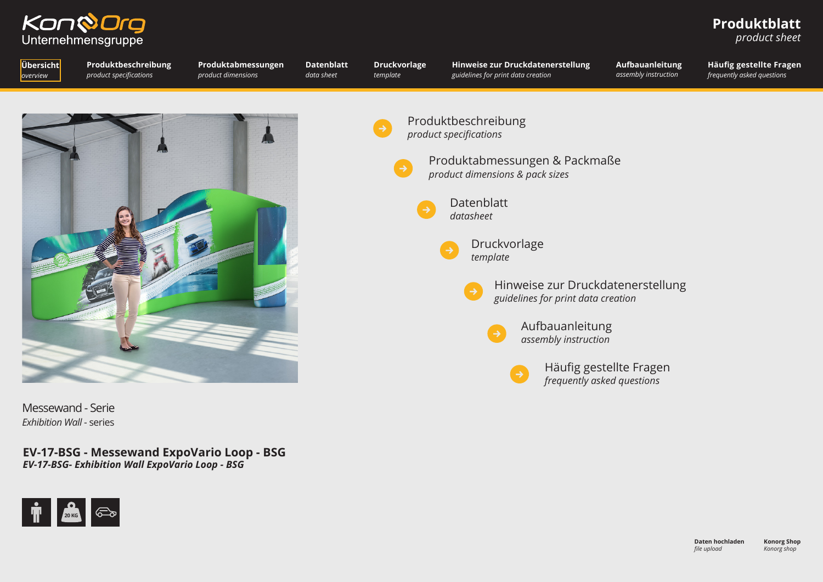*product sheet*

<span id="page-0-0"></span>

*overview product specifications*

**Übersicht**

**[Produktbeschreibung](#page-1-0)** *product dimensions*

**[Produktabmessungen](#page-2-0)**

**[Datenblatt](#page-3-0)** *data sheet template*

**[Druckvorlage](#page-5-0)**

**[Hinweise zur Druckdatenerstellung](#page-6-0)** *guidelines for print data creation*

**[Aufbauanleitung](#page-7-0)** *assembly instruction*

**[Häufig gestellte Fragen](#page-8-0)** *frequently asked questions*



Messewand - Serie *Exhibition Wall* - series

**EV-17-BSG - Messewand ExpoVario Loop - BSG** *EV-17-BSG- Exhibition Wall ExpoVario Loop - BSG*

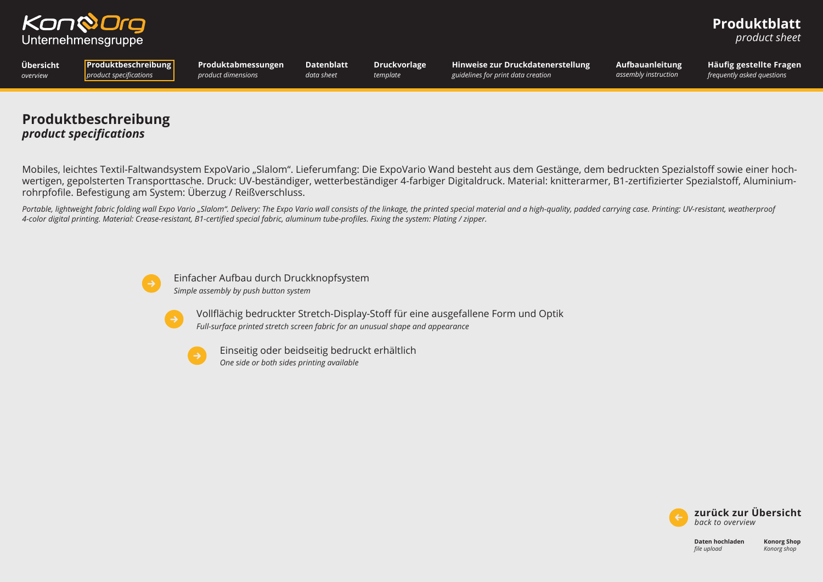<span id="page-1-0"></span>

*product sheet*

**[Übersicht](#page-0-0)** *[overview](#page-0-0)*

**Produktbeschreibung [Produktabmessungen](#page-2-0)** *product dimensions*

**[Datenblatt](#page-3-0)** *data sheet*

**[Druckvorlage](#page-5-0)** *guidelines for print data creation*

**[Hinweise zur Druckdatenerstellung](#page-6-0)**

**[Aufbauanleitung](#page-7-0)** *assembly instruction*

**[Häufig gestellte Fragen](#page-8-0)** *frequently asked questions*

### **Produktbeschreibung** *product specifications*

*product specifications*

Mobiles, leichtes Textil-Faltwandsystem ExpoVario "Slalom". Lieferumfang: Die ExpoVario Wand besteht aus dem Gestänge, dem bedruckten Spezialstoff sowie einer hochwertigen, gepolsterten Transporttasche. Druck: UV-beständiger, wetterbeständiger 4-farbiger Digitaldruck. Material: knitterarmer, B1-zertifizierter Spezialstoff, Aluminiumrohrpfofile. Befestigung am System: Überzug / Reißverschluss.

Portable, lightweight fabric folding wall Expo Vario "Slalom". Delivery: The Expo Vario wall consists of the linkage, the printed special material and a high-quality, padded carrying case. Printing: UV-resistant, weatherpr *4-color digital printing. Material: Crease-resistant, B1-certified special fabric, aluminum tube-profiles. Fixing the system: Plating / zipper.*

*template*



Einfacher Aufbau durch Druckknopfsystem *Simple assembly by push button system*



Vollflächig bedruckter Stretch-Display-Stoff für eine ausgefallene Form und Optik *Full-surface printed stretch screen fabric for an unusual shape and appearance*



Einseitig oder beidseitig bedruckt erhältlich *One side or both sides printing available*

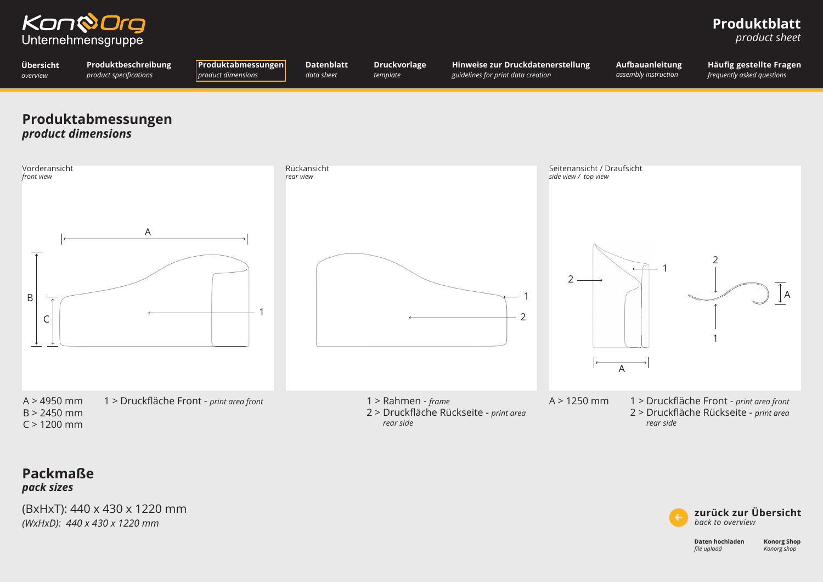<span id="page-2-0"></span>

*product sheet*



### **Packmaße** *pack sizes*

(BxHxT): 440 x 430 x 1220 mm *(WxHxD): 440 x 430 x 1220 mm*

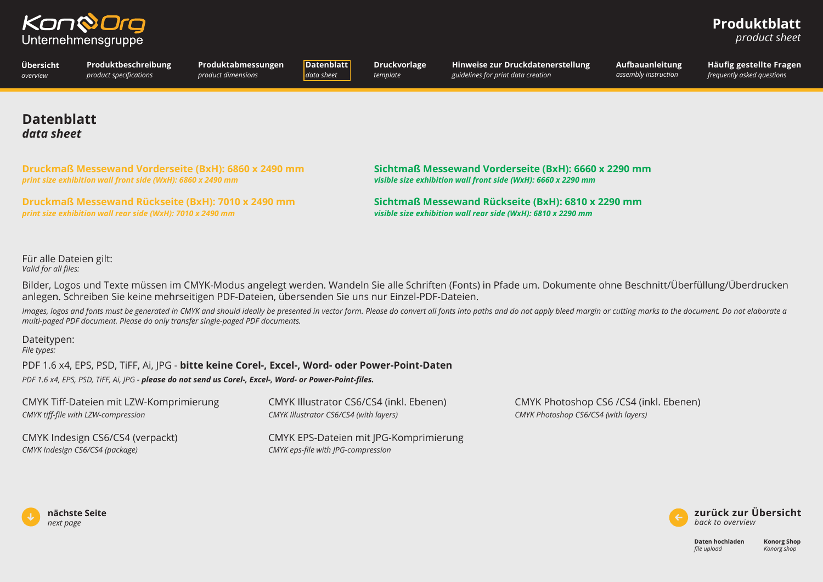<span id="page-3-0"></span>

*product sheet*

**[Übersicht](#page-0-0)** *[overview](#page-0-0)*

**[Produktbeschreibung](#page-1-0)** *product specifications*

**[Produktabmessungen](#page-2-0)** *product dimensions*

**Datenblatt** *data sheet*

**[Druckvorlage](#page-5-0)** *template*

**[Hinweise zur Druckdatenerstellung](#page-6-0)** *guidelines for print data creation*

**[Aufbauanleitung](#page-7-0)** *assembly instruction*

**[Häufig gestellte Fragen](#page-8-0)** *frequently asked questions*

### **Datenblatt** *data sheet*

**[Druckmaß Messewand Vorderseite \(BxH\): 6860 x 2490 mm Sichtmaß Messewand Vorderseite \(BxH\): 6660 x 2290 mm](#page-6-0)** *print size exhibition wall front side (WxH): 6860 x 2490 mm visible size exhibition wall front side (WxH): 6660 x 2290 mm*

**Druckmaß Messewand Rückseite (BxH): 7010 x 2490 mm Sichtmaß Messewand Rückseite (BxH): 6810 x 2290 mm**<br>
print size exhibition wall rear side (WxH): 7010 x 2490 mm state and the state wisible size exhibition wall rear side

*print size exhibition wall rear side (WxH): 6810 x 2290 mm* 

### Für alle Dateien gilt: *Valid for all files:*

Bilder, Logos und Texte müssen im CMYK-Modus angelegt werden. Wandeln Sie alle Schriften (Fonts) in Pfade um. Dokumente ohne Beschnitt/Überfüllung/Überdrucken anlegen. Schreiben Sie keine mehrseitigen PDF-Dateien, übersenden Sie uns nur Einzel-PDF-Dateien.

Images, logos and fonts must be generated in CMYK and should ideally be presented in vector form. Please do convert all fonts into paths and do not apply bleed margin or cutting marks to the document. Do not elaborate a *multi-paged PDF document. Please do only transfer single-paged PDF documents.*

#### Dateitypen: *File types:*

PDF 1.6 x4, EPS, PSD, TiFF, Ai, JPG - **bitte keine Corel-, Excel-, Word- oder Power-Point-Daten**

*PDF 1.6 x4, EPS, PSD, TiFF, Ai, JPG - please do not send us Corel-, Excel-, Word- or Power-Point-files.*

| CMYK Tiff-Dateien mit LZW-Komprimierung                             | CMYK Illustrator CS6/CS4 (inkl. Ebenen)                                      | CMYK Photoshop CS6 /CS4 (inkl. Ebenen) |
|---------------------------------------------------------------------|------------------------------------------------------------------------------|----------------------------------------|
| CMYK tiff-file with LZW-compression                                 | CMYK Illustrator CS6/CS4 (with layers)                                       | CMYK Photoshop CS6/CS4 (with layers)   |
| CMYK Indesign CS6/CS4 (verpackt)<br>CMYK Indesign CS6/CS4 (package) | CMYK EPS-Dateien mit JPG-Komprimierung<br>CMYK eps-file with JPG-compression |                                        |



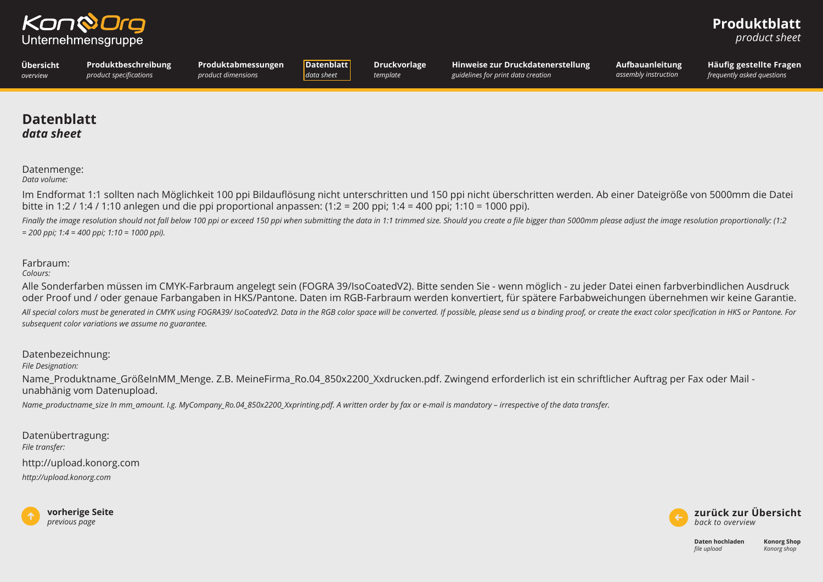<span id="page-4-0"></span>

*product specifications*

**Produktblatt**

*product sheet*

**[Übersicht](#page-0-0)** *[overview](#page-0-0)*

**[Produktbeschreibung](#page-1-0) [Produktabmessungen](#page-2-0)** *product dimensions*

**[Datenblatt](#page-3-0)** *data sheet*

**[Druckvorlage](#page-5-0)** *template*

**[Hinweise zur Druckdatenerstellung](#page-6-0)** *guidelines for print data creation*

**[Aufbauanleitung](#page-7-0)** *assembly instruction*

**[Häufig gestellte Fragen](#page-8-0)** *frequently asked questions*

### **Datenblatt** *data sheet*

Datenmenge: *Data volume:*

Im Endformat 1:1 sollten nach Möglichkeit 100 ppi Bildauflösung nicht unterschritten und 150 ppi nicht überschritten werden. Ab einer Dateigröße von 5000mm die Datei bitte in 1:2 / 1:4 / 1:10 anlegen und die ppi proportional anpassen: (1:2 = 200 ppi; 1:4 = 400 ppi; 1:10 = 1000 ppi).

Finally the image resolution should not fall below 100 ppi or exceed 150 ppi when submitting the data in 1:1 trimmed size. Should you create a file bigger than 5000mm please adjust the image resolution proportionally: (1:2 *= 200 ppi; 1:4 = 400 ppi; 1:10 = 1000 ppi).*

### Farbraum:

*Colours:*

Alle Sonderfarben müssen im CMYK-Farbraum angelegt sein (FOGRA 39/IsoCoatedV2). Bitte senden Sie - wenn möglich - zu jeder Datei einen farbverbindlichen Ausdruck oder Proof und / oder genaue Farbangaben in HKS/Pantone. Daten im RGB-Farbraum werden konvertiert, für spätere Farbabweichungen übernehmen wir keine Garantie. All special colors must be generated in CMYK using FOGRA39/ IsoCoatedV2. Data in the RGB color space will be converted. If possible, please send us a binding proof, or create the exact color specification in HKS or Pantone *subsequent color variations we assume no guarantee.*

Datenbezeichnung:

*File Designation:*

Name\_Produktname\_GrößeInMM\_Menge. Z.B. MeineFirma\_Ro.04\_850x2200\_Xxdrucken.pdf. Zwingend erforderlich ist ein schriftlicher Auftrag per Fax oder Mail unabhänig vom Datenupload.

*Name\_productname\_size In mm\_amount. I.g. MyCompany\_Ro.04\_850x2200\_Xxprinting.pdf. A written order by fax or e-mail is mandatory – irrespective of the data transfer.*

Datenübertragung: *File transfer:*

http://upload.konorg.com

*http://upload.konorg.com*



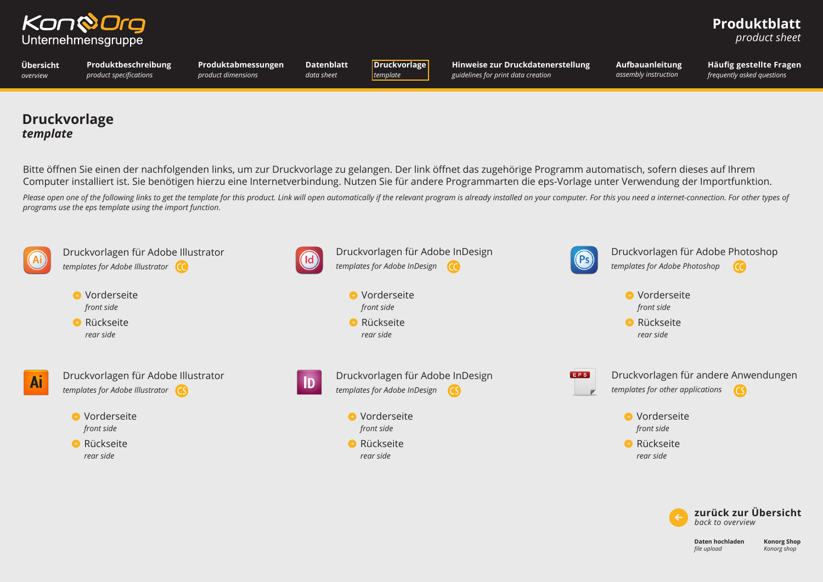<span id="page-5-0"></span>

*product sheet*

**[Übersicht](#page-0-0)** *[overview](#page-0-0)*

**[Produktbeschreibung](#page-1-0)** *product specifications*

**[Produktabmessungen](#page-2-0)** *product dimensions*

**[Datenblatt](#page-3-0)** *data sheet* **Druckvorlage** *template*

**[Hinweise zur Druckdatenerstellung](#page-6-0)** *guidelines for print data creation*

**[Aufbauanleitung](#page-7-0)** *assembly instruction*

**[Häufig gestellte Fragen](#page-8-0)** *frequently asked questions*

**[zurück zur Übersicht](#page-0-0)**

**[Konorg Shop](http://shop.konorg.com)** *Konorg shop*

*back to overview*

**[Daten hochladen](http://daten.konorg.com)** *file upload*

### **Druckvorlage** *template*

Bitte öffnen Sie einen der nachfolgenden links, um zur Druckvorlage zu gelangen. Der link öffnet das zugehörige Programm automatisch, sofern dieses auf Ihrem Computer installiert ist. Sie benötigen hierzu eine Internetverbindung. Nutzen Sie für andere Programmarten die eps-Vorlage unter Verwendung der Importfunktion.

Please open one of the following links to get the template for this product. Link will open automatically if the relevant program is already installed on your computer. For this you need a internet-connection. For other ty *programs use the eps template using the import function.*

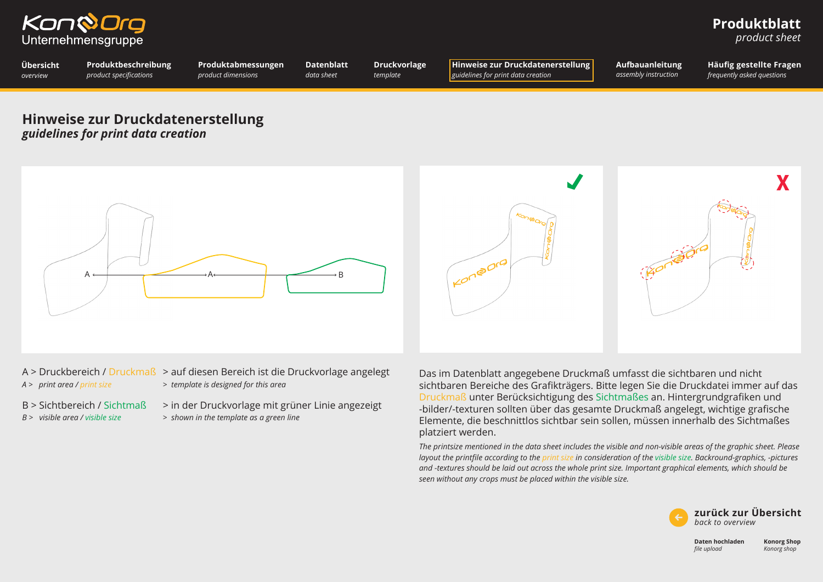<span id="page-6-0"></span>

*product sheet*

X

| Übersicht | Produktbeschreibung               | Produktabmessungen | <b>Datenblatt</b> | <b>Druckvorlage</b> | Hinweise zur Druckdatenerstellung  | Aufbauanleitung      | Häufig gestellte Fragen    |  |
|-----------|-----------------------------------|--------------------|-------------------|---------------------|------------------------------------|----------------------|----------------------------|--|
| overview  | product specifications            | product dimensions | data sheet        | template            | guidelines for print data creation | assembly instruction | frequently asked questions |  |
|           | Hinweise zur Druckdatenerstellung |                    |                   |                     |                                    |                      |                            |  |

Konsora

### **Hinweise zur Druckdatenerstellung** *guidelines for print data creation*





- 
- *A > print area [/ print size](#page-3-0) > template is designed for this area*
- 
- 
- B > Sichtbereich / [Sichtmaß](#page-3-0) > in der Druckvorlage mit grüner Linie angezeigt
- *B > visible are[a / visible size](#page-3-0) > shown in the template as a green line*

Das im Datenblatt angegebene Druckmaß umfasst die sichtbaren und nicht sichtbaren Bereiche des Grafikträgers. Bitte legen Sie die Druckdatei immer auf das [Druckmaß](#page-3-0) unter Berücksichtigung des [Sichtmaßes](#page-3-0) an. Hintergrundgrafiken und -bilder/-texturen sollten über das gesamte Druckmaß angelegt, wichtige grafische Elemente, die beschnittlos sichtbar sein sollen, müssen innerhalb des Sichtmaßes platziert werden.

*The printsize mentioned in the data sheet includes the visible and non-visible areas of the graphic sheet. Please layout the printfile according to th[e print size](#page-3-0) in consideration of th[e visible size.](#page-3-0) Backround-graphics, -pictures and -textures should be laid out across the whole print size. Important graphical elements, which should be seen without any crops must be placed within the visible size.*

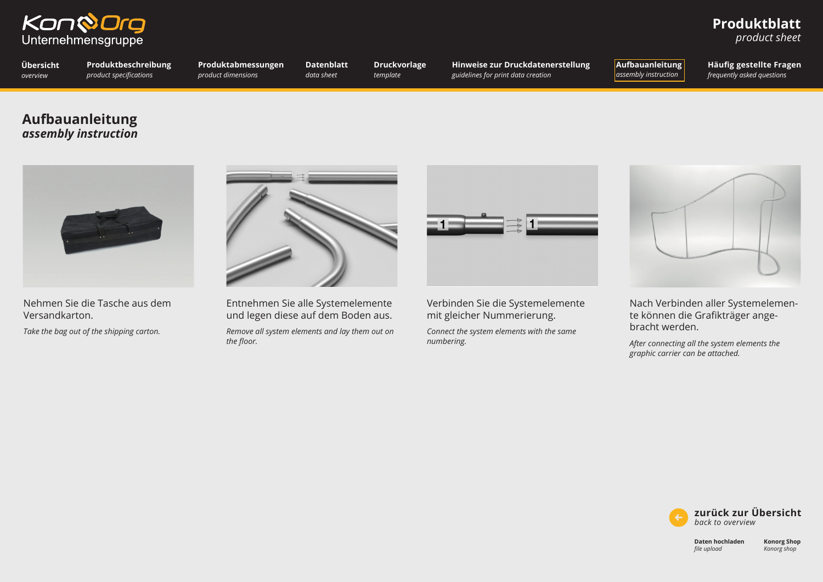<span id="page-7-0"></span>

*product sheet*

**[Übersicht](#page-0-0)** *[overview](#page-0-0)*

**[Produktbeschreibung](#page-1-0)** *product specifications*

**[Produktabmessungen](#page-2-0)** *product dimensions*

**[Datenblatt](#page-3-0)** *data sheet*

**[Druckvorlage](#page-5-0)** *template*

**[Hinweise zur Druckdatenerstellung](#page-6-0)** *guidelines for print data creation*

**Aufbauanleitung** *assembly instruction*

**[Häufig gestellte Fragen](#page-8-0)** *frequently asked questions*

### **Aufbauanleitung** *assembly instruction*



Nehmen Sie die Tasche aus dem Versandkarton.

*Take the bag out of the shipping carton.*



Entnehmen Sie alle Systemelemente und legen diese auf dem Boden aus.

*Remove all system elements and lay them out on the floor.*



Verbinden Sie die Systemelemente mit gleicher Nummerierung.

*Connect the system elements with the same numbering.*



Nach Verbinden aller Systemelemente können die Grafikträger angebracht werden.

*After connecting all the system elements the graphic carrier can be attached.*